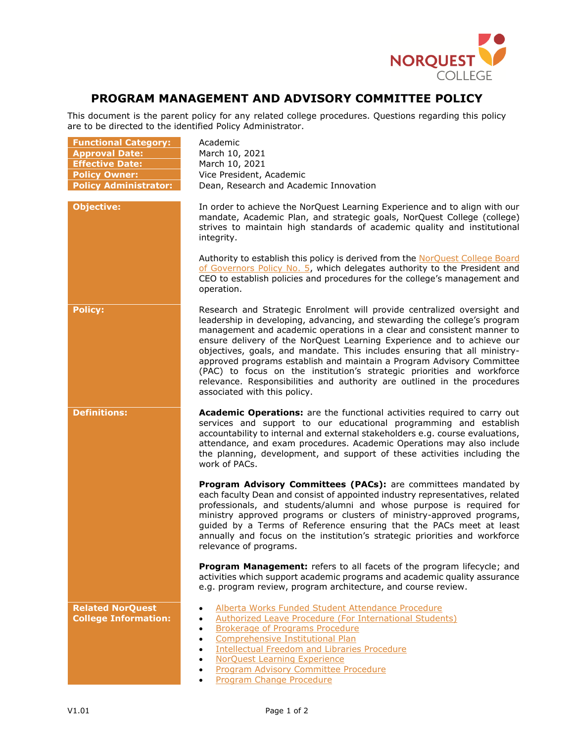

## **PROGRAM MANAGEMENT AND ADVISORY COMMITTEE POLICY**

This document is the parent policy for any related college procedures. Questions regarding this policy are to be directed to the identified Policy Administrator.

| <b>Functional Category:</b><br><b>Approval Date:</b><br><b>Effective Date:</b><br><b>Policy Owner:</b><br><b>Policy Administrator:</b> | Academic<br>March 10, 2021<br>March 10, 2021<br>Vice President, Academic<br>Dean, Research and Academic Innovation                                                                                                                                                                                                                                                                                                                                                                                                                                                                                                                                   |  |  |
|----------------------------------------------------------------------------------------------------------------------------------------|------------------------------------------------------------------------------------------------------------------------------------------------------------------------------------------------------------------------------------------------------------------------------------------------------------------------------------------------------------------------------------------------------------------------------------------------------------------------------------------------------------------------------------------------------------------------------------------------------------------------------------------------------|--|--|
| <b>Objective:</b>                                                                                                                      | In order to achieve the NorQuest Learning Experience and to align with our<br>mandate, Academic Plan, and strategic goals, NorQuest College (college)<br>strives to maintain high standards of academic quality and institutional<br>integrity.                                                                                                                                                                                                                                                                                                                                                                                                      |  |  |
|                                                                                                                                        | Authority to establish this policy is derived from the NorQuest College Board<br>of Governors Policy No. 5, which delegates authority to the President and<br>CEO to establish policies and procedures for the college's management and<br>operation.                                                                                                                                                                                                                                                                                                                                                                                                |  |  |
| <b>Policy:</b>                                                                                                                         | Research and Strategic Enrolment will provide centralized oversight and<br>leadership in developing, advancing, and stewarding the college's program<br>management and academic operations in a clear and consistent manner to<br>ensure delivery of the NorQuest Learning Experience and to achieve our<br>objectives, goals, and mandate. This includes ensuring that all ministry-<br>approved programs establish and maintain a Program Advisory Committee<br>(PAC) to focus on the institution's strategic priorities and workforce<br>relevance. Responsibilities and authority are outlined in the procedures<br>associated with this policy. |  |  |
| <b>Definitions:</b>                                                                                                                    | Academic Operations: are the functional activities required to carry out<br>services and support to our educational programming and establish<br>accountability to internal and external stakeholders e.g. course evaluations,<br>attendance, and exam procedures. Academic Operations may also include<br>the planning, development, and support of these activities including the<br>work of PACs.                                                                                                                                                                                                                                                 |  |  |
|                                                                                                                                        | Program Advisory Committees (PACs): are committees mandated by<br>each faculty Dean and consist of appointed industry representatives, related<br>professionals, and students/alumni and whose purpose is required for<br>ministry approved programs or clusters of ministry-approved programs,<br>guided by a Terms of Reference ensuring that the PACs meet at least<br>annually and focus on the institution's strategic priorities and workforce<br>relevance of programs.                                                                                                                                                                       |  |  |
|                                                                                                                                        | Program Management: refers to all facets of the program lifecycle; and<br>activities which support academic programs and academic quality assurance<br>e.g. program review, program architecture, and course review.                                                                                                                                                                                                                                                                                                                                                                                                                                 |  |  |
| <b>Related NorQuest</b><br><b>College Information:</b>                                                                                 | Alberta Works Funded Student Attendance Procedure<br>$\bullet$<br><b>Authorized Leave Procedure (For International Students)</b><br>٠<br><b>Brokerage of Programs Procedure</b><br>$\bullet$<br>Comprehensive Institutional Plan<br>$\bullet$<br><b>Intellectual Freedom and Libraries Procedure</b><br>$\bullet$<br><b>NorQuest Learning Experience</b><br><b>Program Advisory Committee Procedure</b>                                                                                                                                                                                                                                              |  |  |